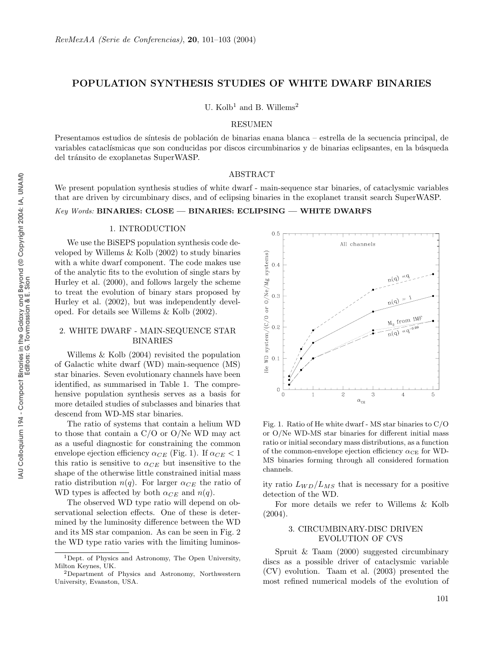# POPULATION SYNTHESIS STUDIES OF WHITE DWARF BINARIES

U.  $Kolb<sup>1</sup>$  and B. Willems<sup>2</sup>

#### RESUMEN

Presentamos estudios de síntesis de población de binarias enana blanca – estrella de la secuencia principal, de variables cataclísmicas que son conducidas por discos circumbinarios y de binarias eclipsantes, en la búsqueda del tránsito de exoplanetas SuperWASP.

### ABSTRACT

We present population synthesis studies of white dwarf - main-sequence star binaries, of cataclysmic variables that are driven by circumbinary discs, and of eclipsing binaries in the exoplanet transit search SuperWASP.

### Key Words: BINARIES: CLOSE — BINARIES: ECLIPSING — WHITE DWARFS

#### 1. INTRODUCTION

We use the BiSEPS population synthesis code developed by Willems & Kolb (2002) to study binaries with a white dwarf component. The code makes use of the analytic fits to the evolution of single stars by Hurley et al. (2000), and follows largely the scheme to treat the evolution of binary stars proposed by Hurley et al. (2002), but was independently developed. For details see Willems & Kolb (2002).

## 2. WHITE DWARF - MAIN-SEQUENCE STAR BINARIES

Willems & Kolb (2004) revisited the population of Galactic white dwarf (WD) main-sequence (MS) star binaries. Seven evolutionary channels have been identified, as summarised in Table 1. The comprehensive population synthesis serves as a basis for more detailed studies of subclasses and binaries that descend from WD-MS star binaries.

The ratio of systems that contain a helium WD to those that contain a C/O or O/Ne WD may act as a useful diagnostic for constraining the common envelope ejection efficiency  $\alpha_{CE}$  (Fig. 1). If  $\alpha_{CE} < 1$ this ratio is sensitive to  $\alpha_{CE}$  but insensitive to the shape of the otherwise little constrained initial mass ratio distribution  $n(q)$ . For larger  $\alpha_{CE}$  the ratio of WD types is affected by both  $\alpha_{CE}$  and  $n(q)$ .

The observed WD type ratio will depend on observational selection effects. One of these is determined by the luminosity difference between the WD and its MS star companion. As can be seen in Fig. 2 the WD type ratio varies with the limiting luminos-



Fig. 1. Ratio of He white dwarf - MS star binaries to C/O or O/Ne WD-MS star binaries for different initial mass ratio or initial secondary mass distributions, as a function of the common-envelope ejection efficiency  $\alpha_{CE}$  for WD-MS binaries forming through all considered formation channels.

ity ratio  $L_{WD}/L_{MS}$  that is necessary for a positive detection of the WD.

For more details we refer to Willems & Kolb  $(2004).$ 

# 3. CIRCUMBINARY-DISC DRIVEN EVOLUTION OF CVS

Spruit & Taam (2000) suggested circumbinary discs as a possible driver of cataclysmic variable (CV) evolution. Taam et al. (2003) presented the most refined numerical models of the evolution of

<sup>1</sup>Dept. of Physics and Astronomy, The Open University, Milton Keynes, UK.

<sup>2</sup>Department of Physics and Astronomy, Northwestern University, Evanston, USA.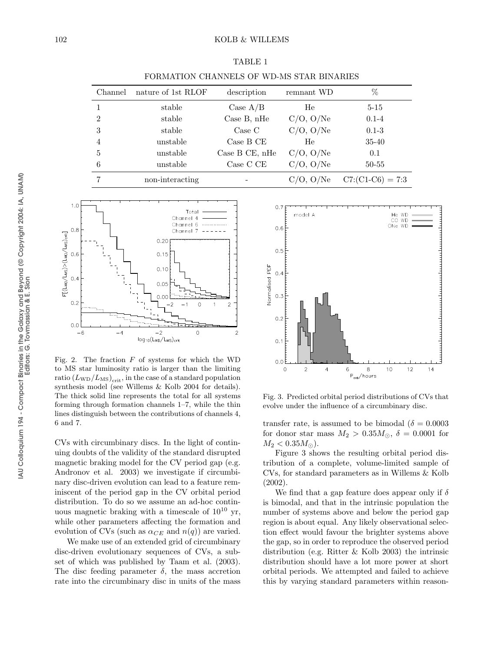| Channel        | nature of 1st RLOF | description    | remnant WD     | %                  |
|----------------|--------------------|----------------|----------------|--------------------|
|                | stable             | Case $A/B$     | He             | $5 - 15$           |
| $\mathfrak{D}$ | stable             | Case B, nHe    | $C/O$ , $O/Ne$ | $0.1 - 4$          |
| 3              | stable             | Case C         | $C/O$ , $O/Ne$ | $0.1 - 3$          |
| 4              | unstable           | Case B CE      | He             | 35-40              |
| 5              | unstable           | Case B CE, nHe | $C/O$ , $O/Ne$ | 0.1                |
| 6              | unstable           | Case C CE      | $C/O$ , $O/Ne$ | $50 - 55$          |
|                | non-interacting    |                | $C/O$ , $O/Ne$ | $C7:(C1-C6) = 7:3$ |

TABLE 1 FORMATION CHANNELS OF WD-MS STAR BINARIES



Fig. 2. The fraction  $F$  of systems for which the WD to MS star luminosity ratio is larger than the limiting  $\text{ratio}\left(L_{\text{WD}}/L_{\text{MS}}\right)_{\text{crit}},$  in the case of a standard population synthesis model (see Willems & Kolb 2004 for details). The thick solid line represents the total for all systems forming through formation channels 1–7, while the thin lines distinguish between the contributions of channels 4, 6 and 7.

CVs with circumbinary discs. In the light of continuing doubts of the validity of the standard disrupted magnetic braking model for the CV period gap (e.g. Andronov et al. 2003) we investigate if circumbinary disc-driven evolution can lead to a feature reminiscent of the period gap in the CV orbital period distribution. To do so we assume an ad-hoc continuous magnetic braking with a timescale of  $10^{10}$  yr, while other parameters affecting the formation and evolution of CVs (such as  $\alpha_{CE}$  and  $n(q)$ ) are varied.

We make use of an extended grid of circumbinary disc-driven evolutionary sequences of CVs, a subset of which was published by Taam et al. (2003). The disc feeding parameter  $\delta$ , the mass accretion rate into the circumbinary disc in units of the mass



Fig. 3. Predicted orbital period distributions of CVs that evolve under the influence of a circumbinary disc.

transfer rate, is assumed to be bimodal ( $\delta = 0.0003$ ) for donor star mass  $M_2 > 0.35 M_{\odot}$ ,  $\delta = 0.0001$  for  $M_2 < 0.35 M_{\odot}$ ).

Figure 3 shows the resulting orbital period distribution of a complete, volume-limited sample of CVs, for standard parameters as in Willems & Kolb (2002).

We find that a gap feature does appear only if  $\delta$ is bimodal, and that in the intrinsic population the number of systems above and below the period gap region is about equal. Any likely observational selection effect would favour the brighter systems above the gap, so in order to reproduce the observed period distribution (e.g. Ritter & Kolb 2003) the intrinsic distribution should have a lot more power at short orbital periods. We attempted and failed to achieve this by varying standard parameters within reason-